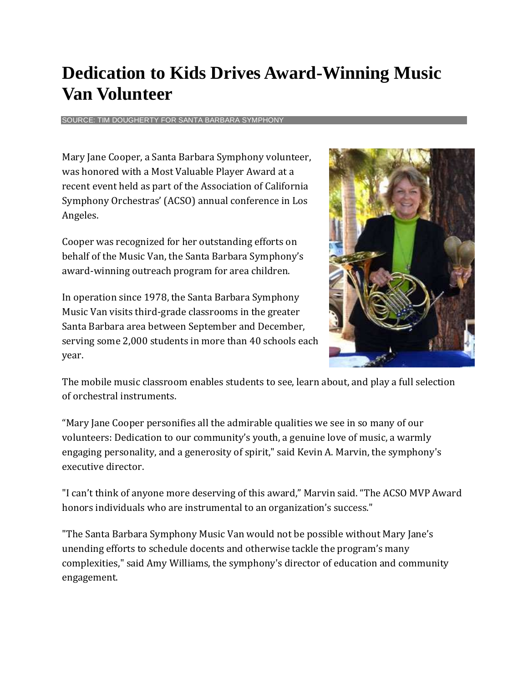## **Dedication to Kids Drives Award-Winning Music Van Volunteer**

SOURCE: TIM DOUGHERTY FOR SANTA BARBARA SYMPHONY

Mary Jane Cooper, a Santa Barbara Symphony volunteer, was honored with a Most Valuable Player Award at a recent event held as part of the Association of California Symphony Orchestras' (ACSO) annual conference in Los Angeles.

Cooper was recognized for her outstanding efforts on behalf of the Music Van, the Santa Barbara Symphony's award-winning outreach program for area children.

In operation since 1978, the Santa Barbara Symphony Music Van visits third-grade classrooms in the greater Santa Barbara area between September and December, serving some 2,000 students in more than 40 schools each year.



The mobile music classroom enables students to see, learn about, and play a full selection of orchestral instruments.

"Mary Jane Cooper personifies all the admirable qualities we see in so many of our volunteers: Dedication to our community's youth, a genuine love of music, a warmly engaging personality, and a generosity of spirit," said Kevin A. Marvin, the symphony's executive director.

"I can't think of anyone more deserving of this award," Marvin said. "The ACSO MVP Award honors individuals who are instrumental to an organization's success."

"The Santa Barbara Symphony Music Van would not be possible without Mary Jane's unending efforts to schedule docents and otherwise tackle the program's many complexities," said Amy Williams, the symphony's director of education and community engagement.